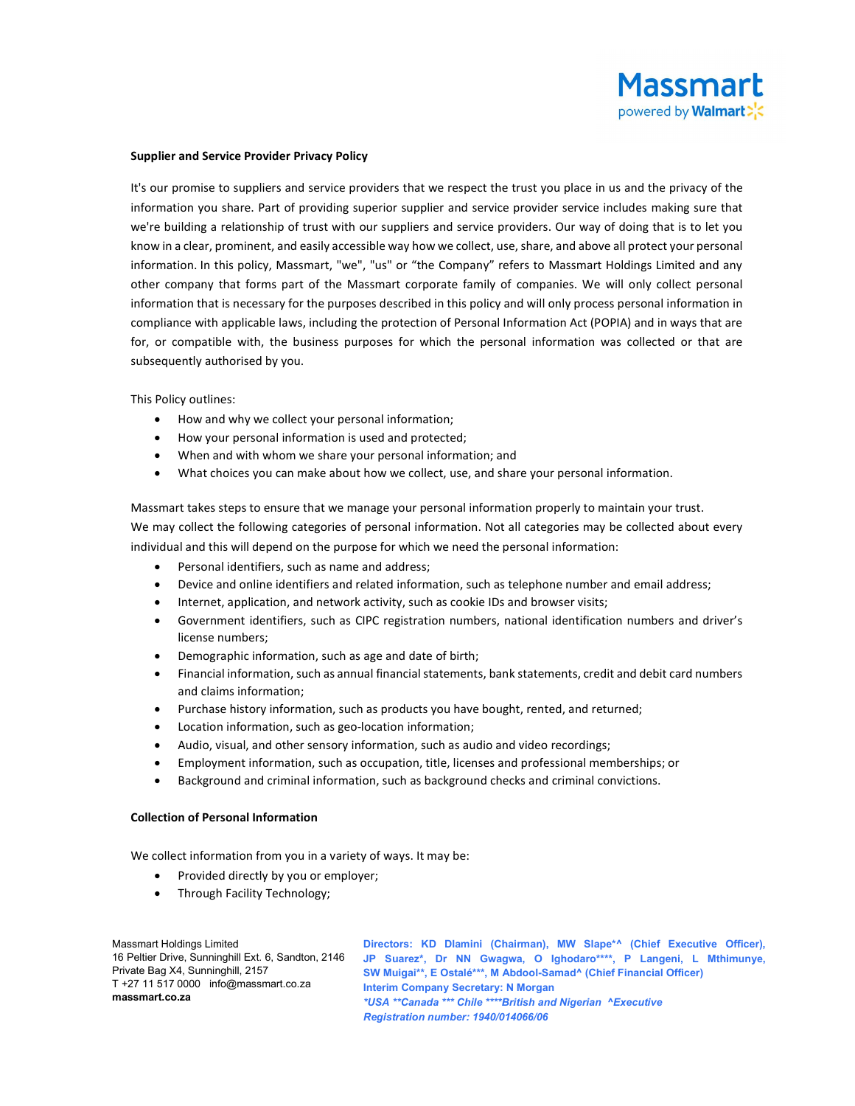

#### Supplier and Service Provider Privacy Policy

It's our promise to suppliers and service providers that we respect the trust you place in us and the privacy of the information you share. Part of providing superior supplier and service provider service includes making sure that we're building a relationship of trust with our suppliers and service providers. Our way of doing that is to let you know in a clear, prominent, and easily accessible way how we collect, use, share, and above all protect your personal information. In this policy, Massmart, "we", "us" or "the Company" refers to Massmart Holdings Limited and any other company that forms part of the Massmart corporate family of companies. We will only collect personal information that is necessary for the purposes described in this policy and will only process personal information in compliance with applicable laws, including the protection of Personal Information Act (POPIA) and in ways that are for, or compatible with, the business purposes for which the personal information was collected or that are subsequently authorised by you.

This Policy outlines:

- How and why we collect your personal information;
- How your personal information is used and protected;
- When and with whom we share your personal information; and
- What choices you can make about how we collect, use, and share your personal information.

Massmart takes steps to ensure that we manage your personal information properly to maintain your trust. We may collect the following categories of personal information. Not all categories may be collected about every individual and this will depend on the purpose for which we need the personal information:

- Personal identifiers, such as name and address;
- Device and online identifiers and related information, such as telephone number and email address;
- Internet, application, and network activity, such as cookie IDs and browser visits;
- Government identifiers, such as CIPC registration numbers, national identification numbers and driver's license numbers;
- Demographic information, such as age and date of birth;
- Financial information, such as annual financial statements, bank statements, credit and debit card numbers and claims information;
- Purchase history information, such as products you have bought, rented, and returned;
- Location information, such as geo-location information;
- Audio, visual, and other sensory information, such as audio and video recordings;
- Employment information, such as occupation, title, licenses and professional memberships; or
- Background and criminal information, such as background checks and criminal convictions.

### Collection of Personal Information

We collect information from you in a variety of ways. It may be:

- Provided directly by you or employer;
- Through Facility Technology;

Massmart Holdings Limited 16 Peltier Drive, Sunninghill Ext. 6, Sandton, 2146 Private Bag X4, Sunninghill, 2157 T +27 11 517 0000 info@massmart.co.za massmart.co.za

Directors: KD Dlamini (Chairman), MW Slape\*^ (Chief Executive Officer), JP Suarez\*, Dr NN Gwagwa, O Ighodaro\*\*\*\*, P Langeni, L Mthimunye, SW Muigai\*\*, E Ostalé\*\*\*, M Abdool-Samad^ (Chief Financial Officer) Interim Company Secretary: N Morgan \*USA \*\*Canada \*\*\* Chile \*\*\*\*British and Nigerian ^Executive Registration number: 1940/014066/06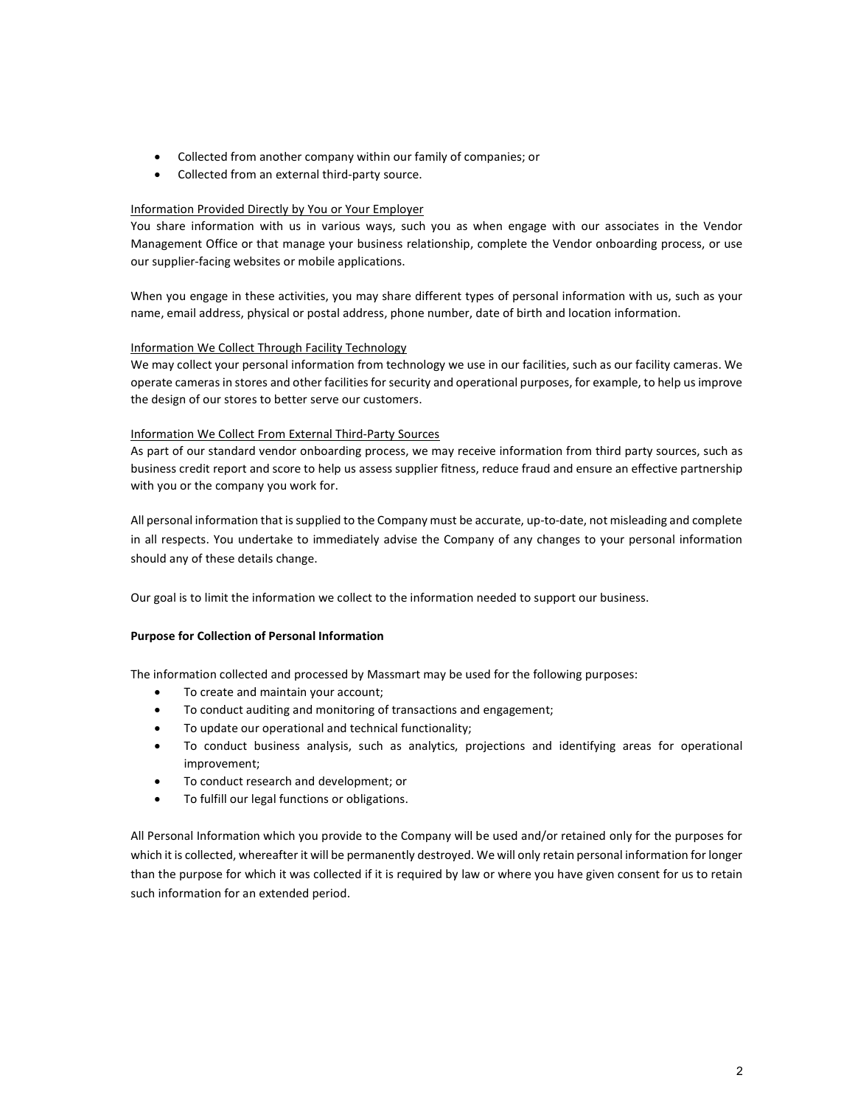- Collected from another company within our family of companies; or
- Collected from an external third-party source.

# Information Provided Directly by You or Your Employer

You share information with us in various ways, such you as when engage with our associates in the Vendor Management Office or that manage your business relationship, complete the Vendor onboarding process, or use our supplier-facing websites or mobile applications.

When you engage in these activities, you may share different types of personal information with us, such as your name, email address, physical or postal address, phone number, date of birth and location information.

# Information We Collect Through Facility Technology

We may collect your personal information from technology we use in our facilities, such as our facility cameras. We operate cameras in stores and other facilities for security and operational purposes, for example, to help us improve the design of our stores to better serve our customers.

# Information We Collect From External Third-Party Sources

As part of our standard vendor onboarding process, we may receive information from third party sources, such as business credit report and score to help us assess supplier fitness, reduce fraud and ensure an effective partnership with you or the company you work for.

All personal information that is supplied to the Company must be accurate, up-to-date, not misleading and complete in all respects. You undertake to immediately advise the Company of any changes to your personal information should any of these details change.

Our goal is to limit the information we collect to the information needed to support our business.

# Purpose for Collection of Personal Information

The information collected and processed by Massmart may be used for the following purposes:

- To create and maintain your account;
- To conduct auditing and monitoring of transactions and engagement;
- To update our operational and technical functionality;
- To conduct business analysis, such as analytics, projections and identifying areas for operational improvement;
- To conduct research and development; or
- To fulfill our legal functions or obligations.

All Personal Information which you provide to the Company will be used and/or retained only for the purposes for which it is collected, whereafter it will be permanently destroyed. We will only retain personal information for longer than the purpose for which it was collected if it is required by law or where you have given consent for us to retain such information for an extended period.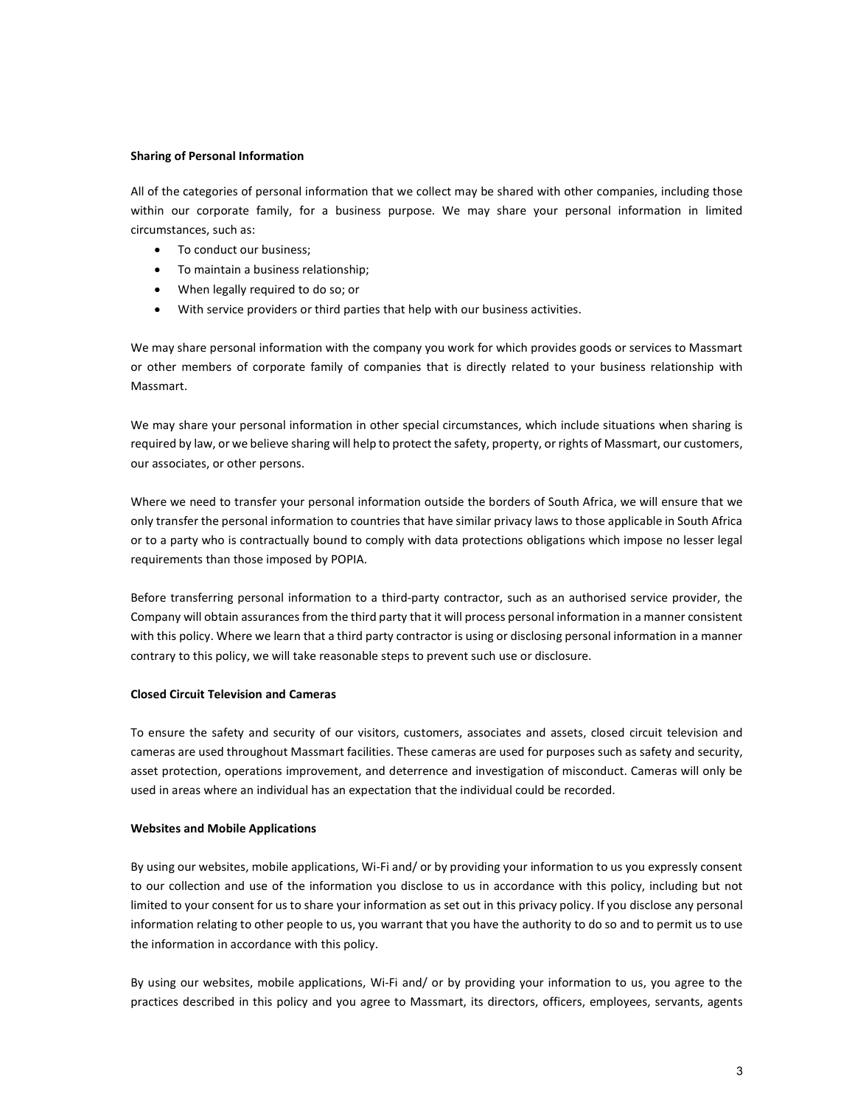### Sharing of Personal Information

All of the categories of personal information that we collect may be shared with other companies, including those within our corporate family, for a business purpose. We may share your personal information in limited circumstances, such as:

- To conduct our business;
- To maintain a business relationship;
- When legally required to do so; or
- With service providers or third parties that help with our business activities.

We may share personal information with the company you work for which provides goods or services to Massmart or other members of corporate family of companies that is directly related to your business relationship with Massmart.

We may share your personal information in other special circumstances, which include situations when sharing is required by law, or we believe sharing will help to protect the safety, property, or rights of Massmart, our customers, our associates, or other persons.

Where we need to transfer your personal information outside the borders of South Africa, we will ensure that we only transfer the personal information to countries that have similar privacy laws to those applicable in South Africa or to a party who is contractually bound to comply with data protections obligations which impose no lesser legal requirements than those imposed by POPIA.

Before transferring personal information to a third-party contractor, such as an authorised service provider, the Company will obtain assurances from the third party that it will process personal information in a manner consistent with this policy. Where we learn that a third party contractor is using or disclosing personal information in a manner contrary to this policy, we will take reasonable steps to prevent such use or disclosure.

### Closed Circuit Television and Cameras

To ensure the safety and security of our visitors, customers, associates and assets, closed circuit television and cameras are used throughout Massmart facilities. These cameras are used for purposes such as safety and security, asset protection, operations improvement, and deterrence and investigation of misconduct. Cameras will only be used in areas where an individual has an expectation that the individual could be recorded.

### Websites and Mobile Applications

By using our websites, mobile applications, Wi-Fi and/ or by providing your information to us you expressly consent to our collection and use of the information you disclose to us in accordance with this policy, including but not limited to your consent for us to share your information as set out in this privacy policy. If you disclose any personal information relating to other people to us, you warrant that you have the authority to do so and to permit us to use the information in accordance with this policy.

By using our websites, mobile applications, Wi-Fi and/ or by providing your information to us, you agree to the practices described in this policy and you agree to Massmart, its directors, officers, employees, servants, agents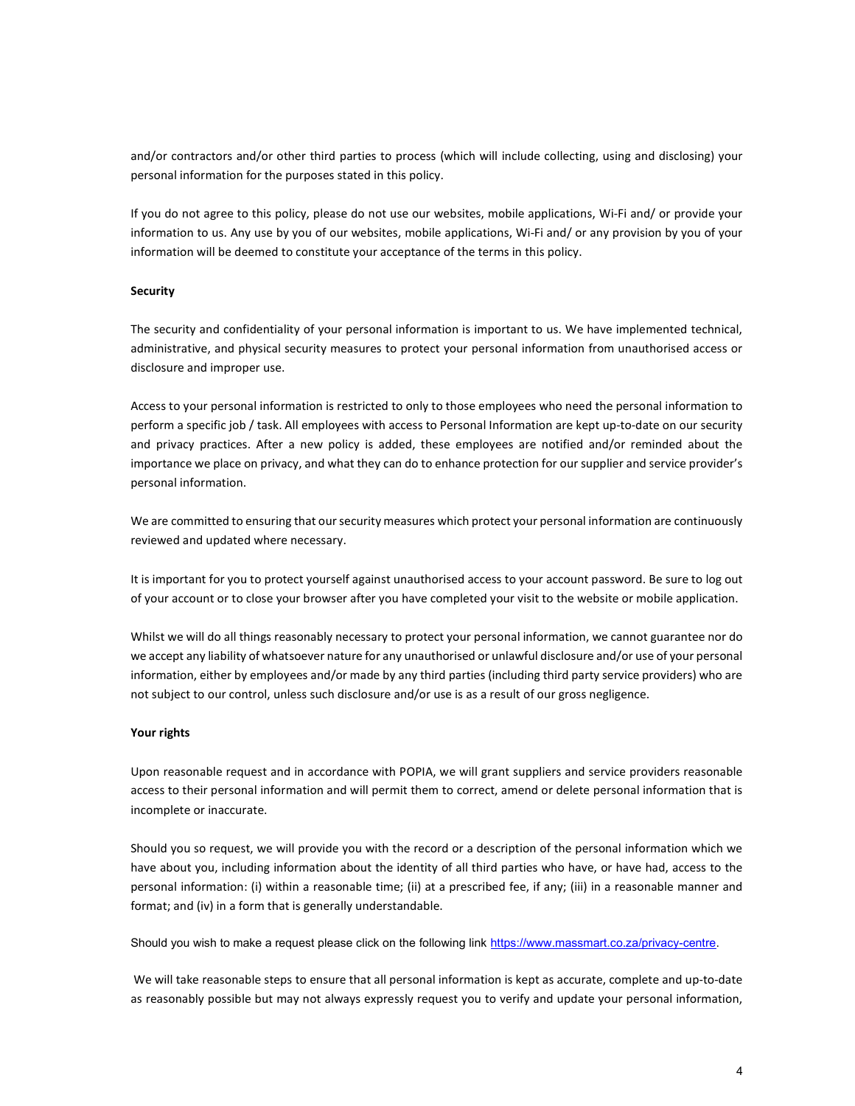and/or contractors and/or other third parties to process (which will include collecting, using and disclosing) your personal information for the purposes stated in this policy.

If you do not agree to this policy, please do not use our websites, mobile applications, Wi-Fi and/ or provide your information to us. Any use by you of our websites, mobile applications, Wi-Fi and/ or any provision by you of your information will be deemed to constitute your acceptance of the terms in this policy.

### **Security**

The security and confidentiality of your personal information is important to us. We have implemented technical, administrative, and physical security measures to protect your personal information from unauthorised access or disclosure and improper use.

Access to your personal information is restricted to only to those employees who need the personal information to perform a specific job / task. All employees with access to Personal Information are kept up-to-date on our security and privacy practices. After a new policy is added, these employees are notified and/or reminded about the importance we place on privacy, and what they can do to enhance protection for our supplier and service provider's personal information.

We are committed to ensuring that our security measures which protect your personal information are continuously reviewed and updated where necessary.

It is important for you to protect yourself against unauthorised access to your account password. Be sure to log out of your account or to close your browser after you have completed your visit to the website or mobile application.

Whilst we will do all things reasonably necessary to protect your personal information, we cannot guarantee nor do we accept any liability of whatsoever nature for any unauthorised or unlawful disclosure and/or use of your personal information, either by employees and/or made by any third parties (including third party service providers) who are not subject to our control, unless such disclosure and/or use is as a result of our gross negligence.

### Your rights

Upon reasonable request and in accordance with POPIA, we will grant suppliers and service providers reasonable access to their personal information and will permit them to correct, amend or delete personal information that is incomplete or inaccurate.

Should you so request, we will provide you with the record or a description of the personal information which we have about you, including information about the identity of all third parties who have, or have had, access to the personal information: (i) within a reasonable time; (ii) at a prescribed fee, if any; (iii) in a reasonable manner and format; and (iv) in a form that is generally understandable.

Should you wish to make a request please click on the following link https://www.massmart.co.za/privacy-centre.

 We will take reasonable steps to ensure that all personal information is kept as accurate, complete and up-to-date as reasonably possible but may not always expressly request you to verify and update your personal information,